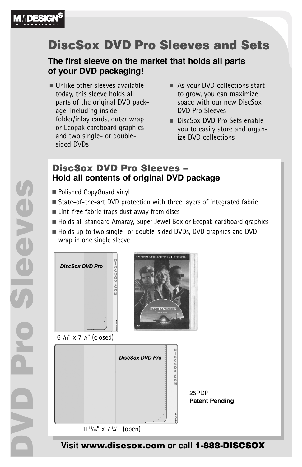

# **DiscSox DVD Pro Sleeves and Sets**

#### **The first sleeve on the market that holds all parts of your DVD packaging!**

- Unlike other sleeves available today, this sleeve holds all parts of the original DVD package, including inside folder/inlay cards, outer wrap or Ecopak cardboard graphics and two single- or doublesided DVDs
- As your DVD collections start to grow, you can maximize space with our new DiscSox DVD Pro Sleeves
- DiscSox DVD Pro Sets enable you to easily store and organize DVD collections

### **DiscSox DVD Pro Sleeves – Hold all contents of original DVD package**

- **Polished CopyGuard vinyl**
- State-of-the-art DVD protection with three layers of integrated fabric
- Lint-free fabric traps dust away from discs
- Holds all standard Amaray, Super Jewel Box or Ecopak cardboard graphics
- Holds up to two single- or double-sided DVDs, DVD graphics and DVD wrap in one single sleeve



**Visit www.discsox.com or call 1-888-DISCSOX**